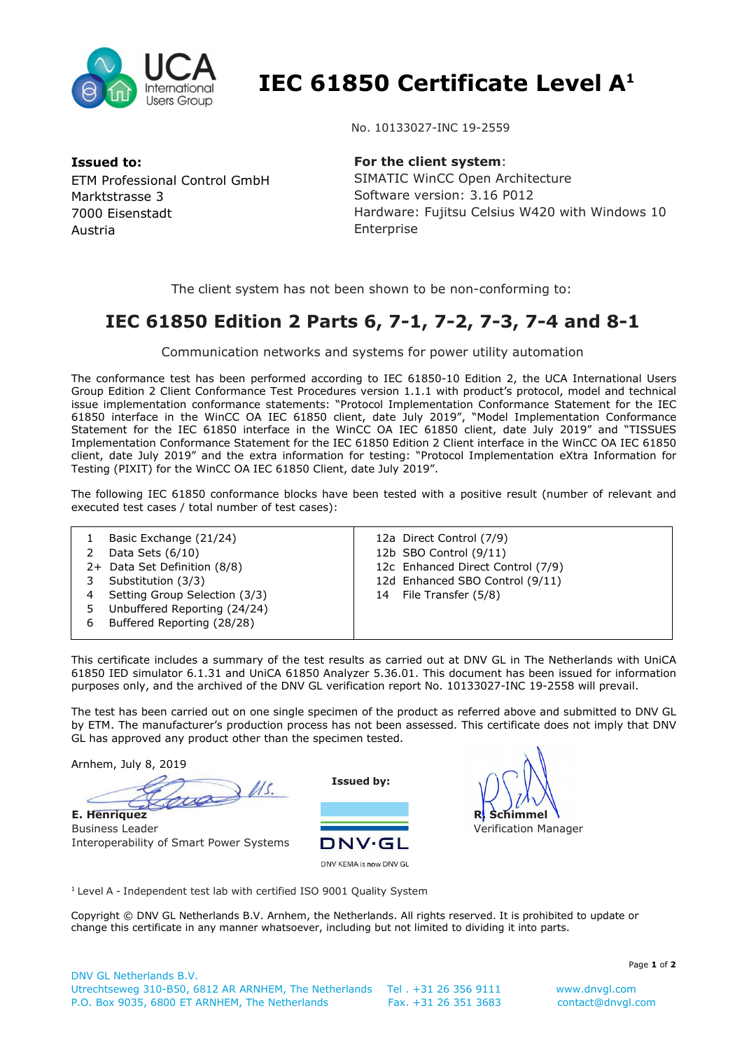

 **IEC 61850 Certificate Level A<sup>1</sup>**

**Issued to:**  ETM Professional Control GmbH Marktstrasse 3 7000 Eisenstadt Austria

No. 10133027-INC 19-2559

**For the client system**: SIMATIC WinCC Open Architecture Software version: 3.16 P012 Hardware: Fujitsu Celsius W420 with Windows 10 Enterprise

The client system has not been shown to be non-conforming to:

## **IEC 61850 Edition 2 Parts 6, 7-1, 7-2, 7-3, 7-4 and 8-1**

Communication networks and systems for power utility automation

The conformance test has been performed according to IEC 61850-10 Edition 2, the UCA International Users Group Edition 2 Client Conformance Test Procedures version 1.1.1 with product's protocol, model and technical issue implementation conformance statements: "Protocol Implementation Conformance Statement for the IEC 61850 interface in the WinCC OA IEC 61850 client, date July 2019", "Model Implementation Conformance Statement for the IEC 61850 interface in the WinCC OA IEC 61850 client, date July 2019" and "TISSUES Implementation Conformance Statement for the IEC 61850 Edition 2 Client interface in the WinCC OA IEC 61850 client, date July 2019" and the extra information for testing: "Protocol Implementation eXtra Information for Testing (PIXIT) for the WinCC OA IEC 61850 Client, date July 2019".

The following IEC 61850 conformance blocks have been tested with a positive result (number of relevant and executed test cases / total number of test cases):

|   | Basic Exchange (21/24)<br>Data Sets $(6/10)$<br>2+ Data Set Definition (8/8)<br>Substitution (3/3)<br>Setting Group Selection (3/3) | 12a Direct Control (7/9)<br>12b SBO Control (9/11)<br>12c Enhanced Direct Control (7/9)<br>12d Enhanced SBO Control (9/11)<br>File Transfer (5/8)<br>14 |
|---|-------------------------------------------------------------------------------------------------------------------------------------|---------------------------------------------------------------------------------------------------------------------------------------------------------|
|   | Unbuffered Reporting (24/24)                                                                                                        |                                                                                                                                                         |
| 6 | Buffered Reporting (28/28)                                                                                                          |                                                                                                                                                         |

This certificate includes a summary of the test results as carried out at DNV GL in The Netherlands with UniCA 61850 IED simulator 6.1.31 and UniCA 61850 Analyzer 5.36.01. This document has been issued for information purposes only, and the archived of the DNV GL verification report No. 10133027-INC 19-2558 will prevail.

The test has been carried out on one single specimen of the product as referred above and submitted to DNV GL by ETM. The manufacturer's production process has not been assessed. This certificate does not imply that DNV GL has approved any product other than the specimen tested.

Arnhem, July 8, 2019

 $\approx$  11s. **E. Henriquez**

Business Leader Interoperability of Smart Power Systems

**Issued by:** 



**R. Schimmel** Verification Manager

<sup>1</sup> Level A - Independent test lab with certified ISO 9001 Quality System

Copyright © DNV GL Netherlands B.V. Arnhem, the Netherlands. All rights reserved. It is prohibited to update or change this certificate in any manner whatsoever, including but not limited to dividing it into parts.